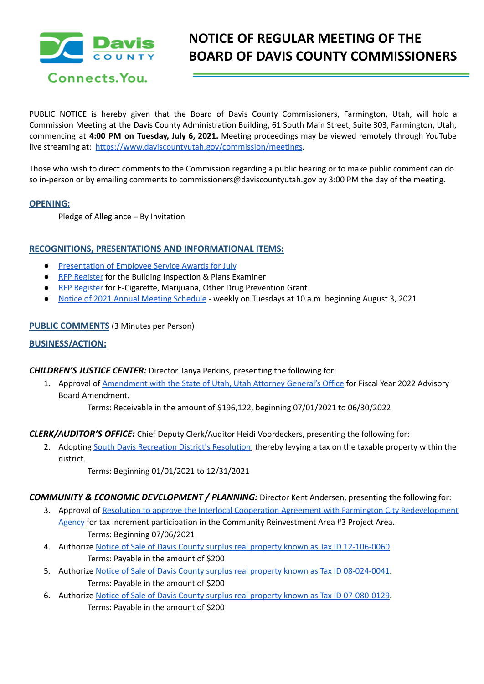

Connects. You.

# **NOTICE OF REGULAR MEETING OF THE BOARD OF DAVIS COUNTY COMMISSIONERS**

PUBLIC NOTICE is hereby given that the Board of Davis County Commissioners, Farmington, Utah, will hold a Commission Meeting at the Davis County Administration Building, 61 South Main Street, Suite 303, Farmington, Utah, commencing at **4:00 PM on Tuesday, July 6, 2021.** Meeting proceedings may be viewed remotely through YouTube live streaming at: <https://www.daviscountyutah.gov/commission/meetings>.

Those who wish to direct comments to the Commission regarding a public hearing or to make public comment can do so in-person or by emailing comments to commissioners@daviscountyutah.gov by 3:00 PM the day of the meeting.

## **OPENING:**

Pledge of Allegiance – By Invitation

## **RECOGNITIONS, PRESENTATIONS AND INFORMATIONAL ITEMS:**

- [Presentation](https://drive.google.com/file/d/1T4jMB9TynO5Eyi_ZjErKWDSxBeYMonsi/view?usp=sharing) of Employee Service Awards for July
- RFP [Register](https://drive.google.com/file/d/1HVW1dOX9BGYguJEBZWob3gZjsTjoZhTC/view?usp=sharing) for the Building Inspection & Plans Examiner
- RFP [Register](https://drive.google.com/file/d/1HjFUuUgelzQFODC3tLBqB1gsEiFwnM2W/view?usp=sharing) for E-Cigarette, Marijuana, Other Drug Prevention Grant
- Notice of 2021 Annual Meeting [Schedule](https://drive.google.com/file/d/1N5QYWz_9senKJz_YNsWuo-8B8BdOQM8Q/view?usp=sharing) weekly on Tuesdays at 10 a.m. beginning August 3, 2021

#### **PUBLIC COMMENTS** (3 Minutes per Person)

## **BUSINESS/ACTION:**

#### *CHILDREN'S JUSTICE CENTER:* Director Tanya Perkins, presenting the following for:

1. Approval of [Amendment](https://drive.google.com/file/d/1tOucUv_pAqeqRh35gJdcZvmgofiVCkGf/view?usp=sharing) with the State of Utah, Utah Attorney General's Office for Fiscal Year 2022 Advisory Board Amendment.

Terms: Receivable in the amount of \$196,122, beginning 07/01/2021 to 06/30/2022

*CLERK/AUDITOR'S OFFICE:* Chief Deputy Clerk/Auditor Heidi Voordeckers, presenting the following for:

2. Adopting South Davis [Recreation](https://drive.google.com/file/d/1HrVOiyMRpJkvPbfE4gUZ2yjtpfSBlczI/view?usp=sharing) District's Resolution, thereby levying a tax on the taxable property within the district.

Terms: Beginning 01/01/2021 to 12/31/2021

*COMMUNITY & ECONOMIC DEVELOPMENT / PLANNING:* Director Kent Andersen, presenting the following for:

- 3. Approval of Resolution to approve the Interlocal Cooperation Agreement with Farmington City [Redevelopment](https://drive.google.com/file/d/1HOB8mVjk4INJ8q66aYj69-nhMTo_8S4C/view?usp=sharing) [Agency](https://drive.google.com/file/d/1HOB8mVjk4INJ8q66aYj69-nhMTo_8S4C/view?usp=sharing) for tax increment participation in the Community Reinvestment Area #3 Project Area. Terms: Beginning 07/06/2021
- 4. Authorize Notice of Sale of Davis County surplus real property known as Tax ID [12-106-0060](https://drive.google.com/file/d/1HmLPsGCYYwZNYcp4pmJ7BTY3xgU5Uewd/view?usp=sharing). Terms: Payable in the amount of \$200
- 5. Authorize Notice of Sale of Davis County surplus real property known as Tax ID [08-024-0041](https://drive.google.com/file/d/1HmaaBVuNDowvPcEui59j_GLfjR45nKd4/view?usp=sharing). Terms: Payable in the amount of \$200
- 6. Authorize Notice of Sale of Davis County surplus real property known as Tax ID [07-080-0129](https://drive.google.com/file/d/1Hmklr_u8-JIxq9F-iAFQWpvqrC1_crto/view?usp=sharing). Terms: Payable in the amount of \$200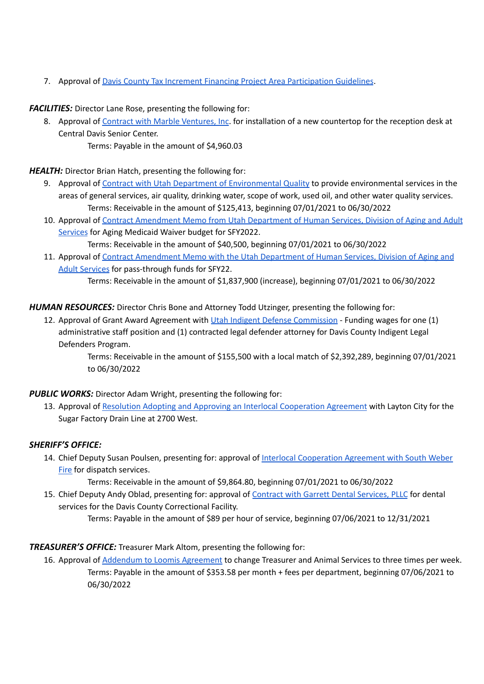7. Approval of Davis County Tax Increment Financing Project Area [Participation](https://drive.google.com/file/d/1HmsTBc-rNjMaLjJxLoj7ACyTbEjDbfXg/view?usp=sharing) Guidelines.

*FACILITIES:* Director Lane Rose, presenting the following for:

8. Approval of Contract with Marble [Ventures,](https://drive.google.com/file/d/1HqQWsVgm1siemG83mfX439qLCxhyb9e9/view?usp=sharing) Inc. for installation of a new countertop for the reception desk at Central Davis Senior Center. Terms: Payable in the amount of \$4,960.03

*HEALTH:* Director Brian Hatch, presenting the following for:

- 9. Approval of Contract with Utah Department of [Environmental](https://drive.google.com/file/d/1tt_-he2mPCRUCaMSxqXg5WNTqu9oNj_x/view?usp=sharing) Quality to provide environmental services in the areas of general services, air quality, drinking water, scope of work, used oil, and other water quality services. Terms: Receivable in the amount of \$125,413, beginning 07/01/2021 to 06/30/2022
- 10. Approval of Contract [Amendment](https://drive.google.com/file/d/1Mn36tio_ymkJXtUoAOVQMKciwsaqkwVD/view?usp=sharing) Memo from Utah Department of Human Services, Division of Aging and Adult [Services](https://drive.google.com/file/d/1Mn36tio_ymkJXtUoAOVQMKciwsaqkwVD/view?usp=sharing) for Aging Medicaid Waiver budget for SFY2022.

Terms: Receivable in the amount of \$40,500, beginning 07/01/2021 to 06/30/2022

11. Approval of Contract [Amendment](https://drive.google.com/file/d/1nSGqBlfULWL5a1r22pV_6q_Typ0CA8lz/view?usp=sharing) Memo with the Utah Department of Human Services, Division of Aging and Adult [Services](https://drive.google.com/file/d/1nSGqBlfULWL5a1r22pV_6q_Typ0CA8lz/view?usp=sharing) for pass-through funds for SFY22.

Terms: Receivable in the amount of \$1,837,900 (increase), beginning 07/01/2021 to 06/30/2022

*HUMAN RESOURCES:* Director Chris Bone and Attorney Todd Utzinger, presenting the following for:

12. Approval of Grant Award Agreement with Utah Indigent Defense [Commission](https://drive.google.com/file/d/1-FZeXfj6H_tsFl_XfvGRXaT0Giajzhq5/view?usp=sharing) - Funding wages for one (1) administrative staff position and (1) contracted legal defender attorney for Davis County Indigent Legal Defenders Program.

> Terms: Receivable in the amount of \$155,500 with a local match of \$2,392,289, beginning 07/01/2021 to 06/30/2022

## *PUBLIC WORKS:* Director Adam Wright, presenting the following for:

13. Approval of Resolution Adopting and Approving an Interlocal [Cooperation](https://drive.google.com/file/d/1HEQcKZcnZFy0_LUAlVeb4M2fNw2tQoPU/view?usp=sharing) Agreement with Layton City for the Sugar Factory Drain Line at 2700 West.

# *SHERIFF'S OFFICE:*

14. Chief Deputy Susan Poulsen, presenting for: approval of Interlocal [Cooperation](https://drive.google.com/file/d/1bJWvOmPZRYzjv_tJ7wgC1JO0p6xvJMPR/view?usp=sharing) Agreement with South Weber [Fire](https://drive.google.com/file/d/1bJWvOmPZRYzjv_tJ7wgC1JO0p6xvJMPR/view?usp=sharing) for dispatch services.

Terms: Receivable in the amount of \$9,864.80, beginning 07/01/2021 to 06/30/2022

15. Chief Deputy Andy Oblad, presenting for: approval of Contract with Garrett Dental [Services,](https://drive.google.com/file/d/1Hnr2J8jP1eDOgn1fQFLSjQiL-PKFW28q/view?usp=sharing) PLLC for dental services for the Davis County Correctional Facility.

Terms: Payable in the amount of \$89 per hour of service, beginning 07/06/2021 to 12/31/2021

# *TREASURER'S OFFICE:* Treasurer Mark Altom, presenting the following for:

16. Approval of Addendum to Loomis [Agreement](https://drive.google.com/file/d/10ZXsV4hIU1c0kLQ7oG6nqGRL2e_IFdon/view?usp=sharing) to change Treasurer and Animal Services to three times per week. Terms: Payable in the amount of \$353.58 per month + fees per department, beginning 07/06/2021 to 06/30/2022